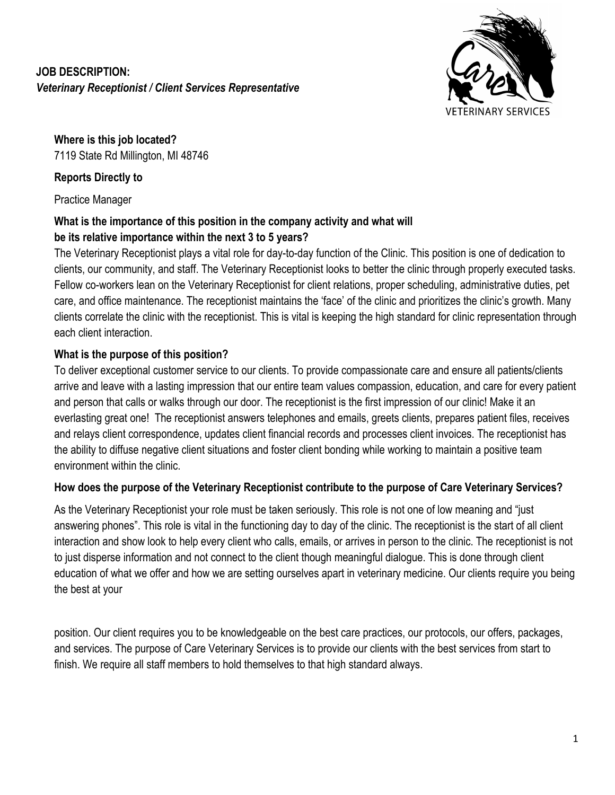# **JOB DESCRIPTION:** *Veterinary Receptionist / Client Services Representative*



**Where is this job located?** 7119 State Rd Millington, MI 48746

# **Reports Directly to**

Practice Manager

# **What is the importance of this position in the company activity and what will be its relative importance within the next 3 to 5 years?**

The Veterinary Receptionist plays a vital role for day-to-day function of the Clinic. This position is one of dedication to clients, our community, and staff. The Veterinary Receptionist looks to better the clinic through properly executed tasks. Fellow co-workers lean on the Veterinary Receptionist for client relations, proper scheduling, administrative duties, pet care, and office maintenance. The receptionist maintains the 'face' of the clinic and prioritizes the clinic's growth. Many clients correlate the clinic with the receptionist. This is vital is keeping the high standard for clinic representation through each client interaction.

# **What is the purpose of this position?**

To deliver exceptional customer service to our clients. To provide compassionate care and ensure all patients/clients arrive and leave with a lasting impression that our entire team values compassion, education, and care for every patient and person that calls or walks through our door. The receptionist is the first impression of our clinic! Make it an everlasting great one! The receptionist answers telephones and emails, greets clients, prepares patient files, receives and relays client correspondence, updates client financial records and processes client invoices. The receptionist has the ability to diffuse negative client situations and foster client bonding while working to maintain a positive team environment within the clinic.

# **How does the purpose of the Veterinary Receptionist contribute to the purpose of Care Veterinary Services?**

As the Veterinary Receptionist your role must be taken seriously. This role is not one of low meaning and "just answering phones". This role is vital in the functioning day to day of the clinic. The receptionist is the start of all client interaction and show look to help every client who calls, emails, or arrives in person to the clinic. The receptionist is not to just disperse information and not connect to the client though meaningful dialogue. This is done through client education of what we offer and how we are setting ourselves apart in veterinary medicine. Our clients require you being the best at your

position. Our client requires you to be knowledgeable on the best care practices, our protocols, our offers, packages, and services. The purpose of Care Veterinary Services is to provide our clients with the best services from start to finish. We require all staff members to hold themselves to that high standard always.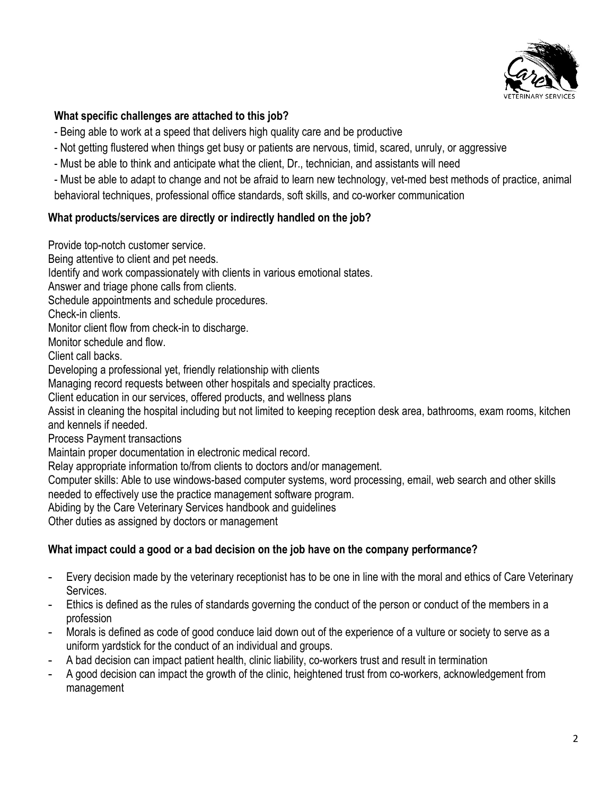

#### **What specific challenges are attached to this job?**

- Being able to work at a speed that delivers high quality care and be productive
- Not getting flustered when things get busy or patients are nervous, timid, scared, unruly, or aggressive
- Must be able to think and anticipate what the client, Dr., technician, and assistants will need
- Must be able to adapt to change and not be afraid to learn new technology, vet-med best methods of practice, animal behavioral techniques, professional office standards, soft skills, and co-worker communication

#### **What products/services are directly or indirectly handled on the job?**

Provide top-notch customer service. Being attentive to client and pet needs. Identify and work compassionately with clients in various emotional states. Answer and triage phone calls from clients. Schedule appointments and schedule procedures. Check-in clients. Monitor client flow from check-in to discharge. Monitor schedule and flow. Client call backs. Developing a professional yet, friendly relationship with clients Managing record requests between other hospitals and specialty practices. Client education in our services, offered products, and wellness plans Assist in cleaning the hospital including but not limited to keeping reception desk area, bathrooms, exam rooms, kitchen and kennels if needed. Process Payment transactions Maintain proper documentation in electronic medical record. Relay appropriate information to/from clients to doctors and/or management. Computer skills: Able to use windows-based computer systems, word processing, email, web search and other skills needed to effectively use the practice management software program. Abiding by the Care Veterinary Services handbook and guidelines Other duties as assigned by doctors or management

## **What impact could a good or a bad decision on the job have on the company performance?**

- Every decision made by the veterinary receptionist has to be one in line with the moral and ethics of Care Veterinary Services.
- Ethics is defined as the rules of standards governing the conduct of the person or conduct of the members in a profession
- Morals is defined as code of good conduce laid down out of the experience of a vulture or society to serve as a uniform yardstick for the conduct of an individual and groups.
- A bad decision can impact patient health, clinic liability, co-workers trust and result in termination
- A good decision can impact the growth of the clinic, heightened trust from co-workers, acknowledgement from management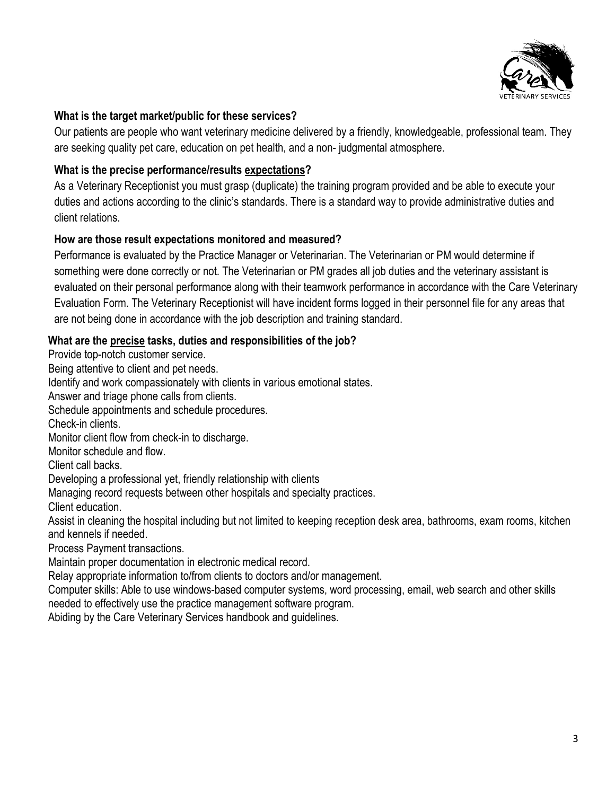

#### **What is the target market/public for these services?**

Our patients are people who want veterinary medicine delivered by a friendly, knowledgeable, professional team. They are seeking quality pet care, education on pet health, and a non- judgmental atmosphere.

### **What is the precise performance/results expectations?**

As a Veterinary Receptionist you must grasp (duplicate) the training program provided and be able to execute your duties and actions according to the clinic's standards. There is a standard way to provide administrative duties and client relations.

#### **How are those result expectations monitored and measured?**

Performance is evaluated by the Practice Manager or Veterinarian. The Veterinarian or PM would determine if something were done correctly or not. The Veterinarian or PM grades all job duties and the veterinary assistant is evaluated on their personal performance along with their teamwork performance in accordance with the Care Veterinary Evaluation Form. The Veterinary Receptionist will have incident forms logged in their personnel file for any areas that are not being done in accordance with the job description and training standard.

#### **What are the precise tasks, duties and responsibilities of the job?**

Provide top-notch customer service. Being attentive to client and pet needs. Identify and work compassionately with clients in various emotional states. Answer and triage phone calls from clients. Schedule appointments and schedule procedures. Check-in clients. Monitor client flow from check-in to discharge. Monitor schedule and flow. Client call backs. Developing a professional yet, friendly relationship with clients Managing record requests between other hospitals and specialty practices. Client education. Assist in cleaning the hospital including but not limited to keeping reception desk area, bathrooms, exam rooms, kitchen and kennels if needed. Process Payment transactions. Maintain proper documentation in electronic medical record. Relay appropriate information to/from clients to doctors and/or management. Computer skills: Able to use windows-based computer systems, word processing, email, web search and other skills needed to effectively use the practice management software program.

Abiding by the Care Veterinary Services handbook and guidelines.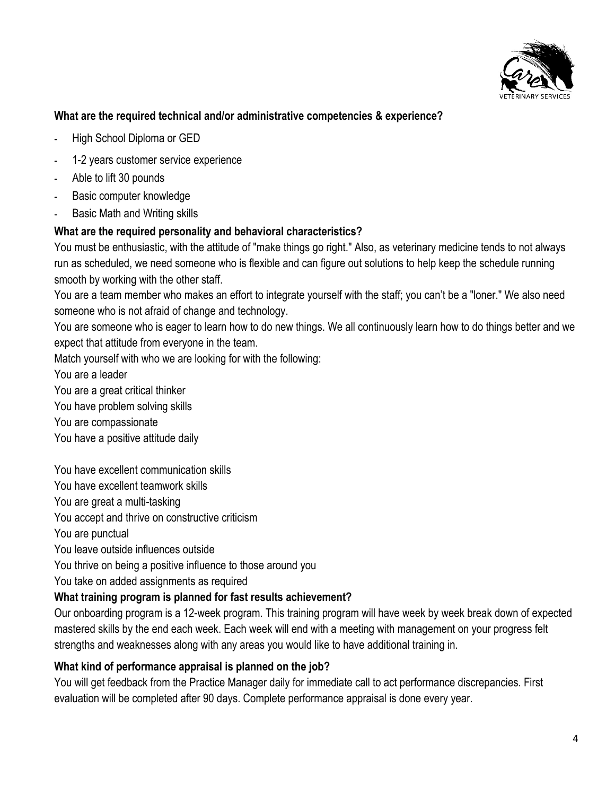

## **What are the required technical and/or administrative competencies & experience?**

- **-** High School Diploma or GED
- **-** 1-2 years customer service experience
- **-** Able to lift 30 pounds
- **-** Basic computer knowledge
- **-** Basic Math and Writing skills

#### **What are the required personality and behavioral characteristics?**

You must be enthusiastic, with the attitude of "make things go right." Also, as veterinary medicine tends to not always run as scheduled, we need someone who is flexible and can figure out solutions to help keep the schedule running smooth by working with the other staff.

You are a team member who makes an effort to integrate yourself with the staff; you can't be a "loner." We also need someone who is not afraid of change and technology.

You are someone who is eager to learn how to do new things. We all continuously learn how to do things better and we expect that attitude from everyone in the team.

Match yourself with who we are looking for with the following:

You are a leader

You are a great critical thinker

You have problem solving skills

You are compassionate

You have a positive attitude daily

You have excellent communication skills

You have excellent teamwork skills

You are great a multi-tasking

You accept and thrive on constructive criticism

You are punctual

You leave outside influences outside

You thrive on being a positive influence to those around you

You take on added assignments as required

## **What training program is planned for fast results achievement?**

Our onboarding program is a 12-week program. This training program will have week by week break down of expected mastered skills by the end each week. Each week will end with a meeting with management on your progress felt strengths and weaknesses along with any areas you would like to have additional training in.

## **What kind of performance appraisal is planned on the job?**

You will get feedback from the Practice Manager daily for immediate call to act performance discrepancies. First evaluation will be completed after 90 days. Complete performance appraisal is done every year.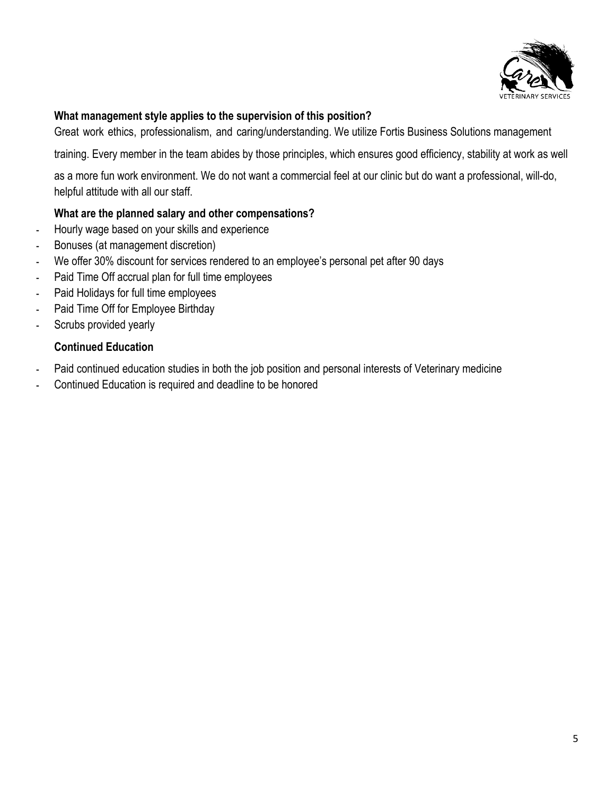

#### **What management style applies to the supervision of this position?**

Great work ethics, professionalism, and caring/understanding. We utilize Fortis Business Solutions management

training. Every member in the team abides by those principles, which ensures good efficiency, stability at work as well

as a more fun work environment. We do not want a commercial feel at our clinic but do want a professional, will-do, helpful attitude with all our staff.

#### **What are the planned salary and other compensations?**

- **-** Hourly wage based on your skills and experience
- **-** Bonuses (at management discretion)
- **-** We offer 30% discount for services rendered to an employee's personal pet after 90 days
- **-** Paid Time Off accrual plan for full time employees
- **-** Paid Holidays for full time employees
- **-** Paid Time Off for Employee Birthday
- **-** Scrubs provided yearly

#### **Continued Education**

- **-** Paid continued education studies in both the job position and personal interests of Veterinary medicine
- **-** Continued Education is required and deadline to be honored